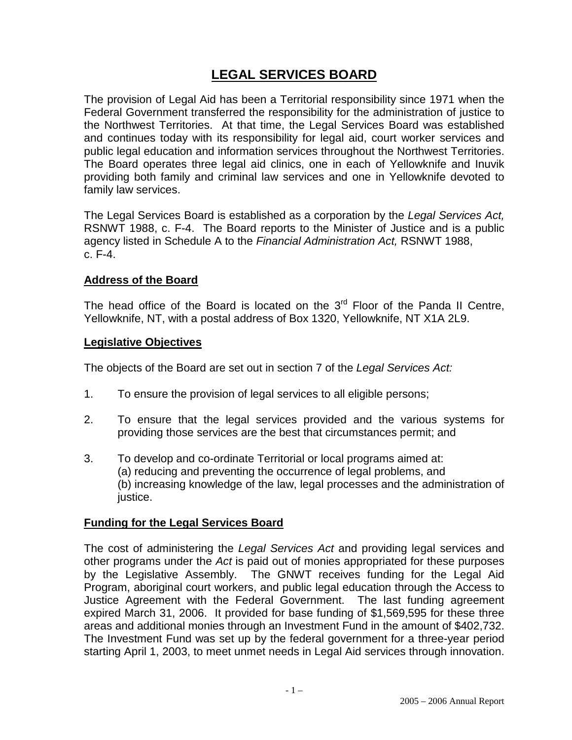# **LEGAL SERVICES BOARD**

The provision of Legal Aid has been a Territorial responsibility since 1971 when the Federal Government transferred the responsibility for the administration of justice to the Northwest Territories. At that time, the Legal Services Board was established and continues today with its responsibility for legal aid, court worker services and public legal education and information services throughout the Northwest Territories. The Board operates three legal aid clinics, one in each of Yellowknife and Inuvik providing both family and criminal law services and one in Yellowknife devoted to family law services.

The Legal Services Board is established as a corporation by the *Legal Services Act,* RSNWT 1988, c. F-4. The Board reports to the Minister of Justice and is a public agency listed in Schedule A to the *Financial Administration Act,* RSNWT 1988, c. F-4.

### **Address of the Board**

The head office of the Board is located on the  $3<sup>rd</sup>$  Floor of the Panda II Centre, Yellowknife, NT, with a postal address of Box 1320, Yellowknife, NT X1A 2L9.

#### **Legislative Objectives**

The objects of the Board are set out in section 7 of the *Legal Services Act:*

- 1. To ensure the provision of legal services to all eligible persons;
- 2. To ensure that the legal services provided and the various systems for providing those services are the best that circumstances permit; and
- 3. To develop and co-ordinate Territorial or local programs aimed at: (a) reducing and preventing the occurrence of legal problems, and (b) increasing knowledge of the law, legal processes and the administration of justice.

### **Funding for the Legal Services Board**

The cost of administering the *Legal Services Act* and providing legal services and other programs under the *Act* is paid out of monies appropriated for these purposes by the Legislative Assembly. The GNWT receives funding for the Legal Aid Program, aboriginal court workers, and public legal education through the Access to Justice Agreement with the Federal Government. The last funding agreement expired March 31, 2006. It provided for base funding of \$1,569,595 for these three areas and additional monies through an Investment Fund in the amount of \$402,732. The Investment Fund was set up by the federal government for a three-year period starting April 1, 2003, to meet unmet needs in Legal Aid services through innovation.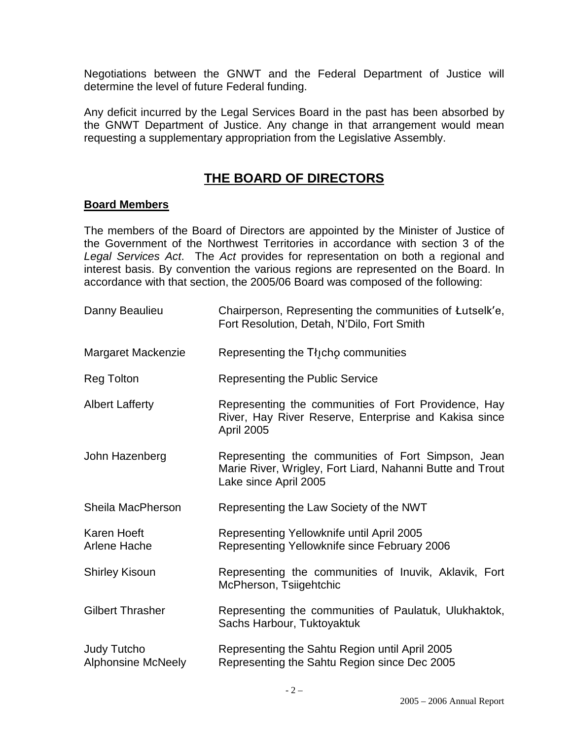Negotiations between the GNWT and the Federal Department of Justice will determine the level of future Federal funding.

Any deficit incurred by the Legal Services Board in the past has been absorbed by the GNWT Department of Justice. Any change in that arrangement would mean requesting a supplementary appropriation from the Legislative Assembly.

# **THE BOARD OF DIRECTORS**

#### **Board Members**

The members of the Board of Directors are appointed by the Minister of Justice of the Government of the Northwest Territories in accordance with section 3 of the *Legal Services Act*. The *Act* provides for representation on both a regional and interest basis. By convention the various regions are represented on the Board. In accordance with that section, the 2005/06 Board was composed of the following:

| Danny Beaulieu                                  | Chairperson, Representing the communities of Łutselk'e,<br>Fort Resolution, Detah, N'Dilo, Fort Smith                                    |
|-------------------------------------------------|------------------------------------------------------------------------------------------------------------------------------------------|
| Margaret Mackenzie                              | Representing the Tłjcho communities                                                                                                      |
| <b>Reg Tolton</b>                               | Representing the Public Service                                                                                                          |
| <b>Albert Lafferty</b>                          | Representing the communities of Fort Providence, Hay<br>River, Hay River Reserve, Enterprise and Kakisa since<br><b>April 2005</b>       |
| John Hazenberg                                  | Representing the communities of Fort Simpson, Jean<br>Marie River, Wrigley, Fort Liard, Nahanni Butte and Trout<br>Lake since April 2005 |
| Sheila MacPherson                               | Representing the Law Society of the NWT                                                                                                  |
| Karen Hoeft<br>Arlene Hache                     | Representing Yellowknife until April 2005<br>Representing Yellowknife since February 2006                                                |
| <b>Shirley Kisoun</b>                           | Representing the communities of Inuvik, Aklavik, Fort<br>McPherson, Tsiigehtchic                                                         |
| <b>Gilbert Thrasher</b>                         | Representing the communities of Paulatuk, Ulukhaktok,<br>Sachs Harbour, Tuktoyaktuk                                                      |
| <b>Judy Tutcho</b><br><b>Alphonsine McNeely</b> | Representing the Sahtu Region until April 2005<br>Representing the Sahtu Region since Dec 2005                                           |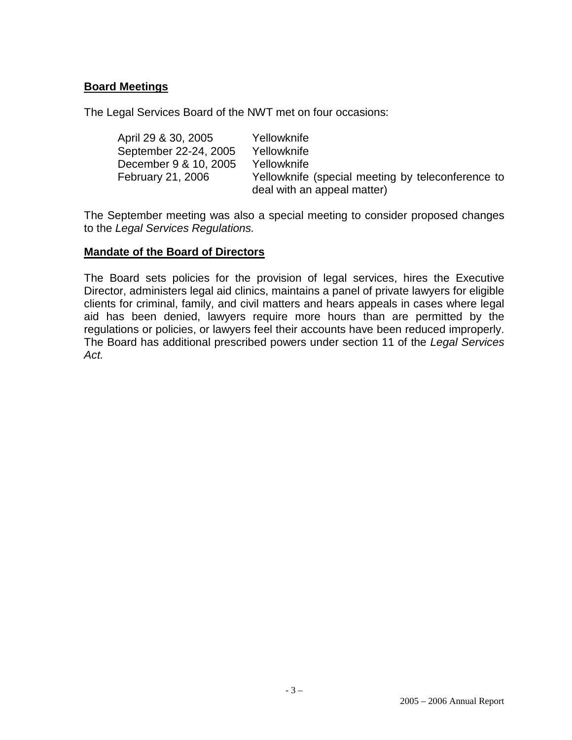### **Board Meetings**

The Legal Services Board of the NWT met on four occasions:

| April 29 & 30, 2005   | Yellowknife                                       |
|-----------------------|---------------------------------------------------|
| September 22-24, 2005 | Yellowknife                                       |
| December 9 & 10, 2005 | Yellowknife                                       |
| February 21, 2006     | Yellowknife (special meeting by teleconference to |
|                       | deal with an appeal matter)                       |

The September meeting was also a special meeting to consider proposed changes to the *Legal Services Regulations.*

#### **Mandate of the Board of Directors**

The Board sets policies for the provision of legal services, hires the Executive Director, administers legal aid clinics, maintains a panel of private lawyers for eligible clients for criminal, family, and civil matters and hears appeals in cases where legal aid has been denied, lawyers require more hours than are permitted by the regulations or policies, or lawyers feel their accounts have been reduced improperly. The Board has additional prescribed powers under section 11 of the *Legal Services Act.*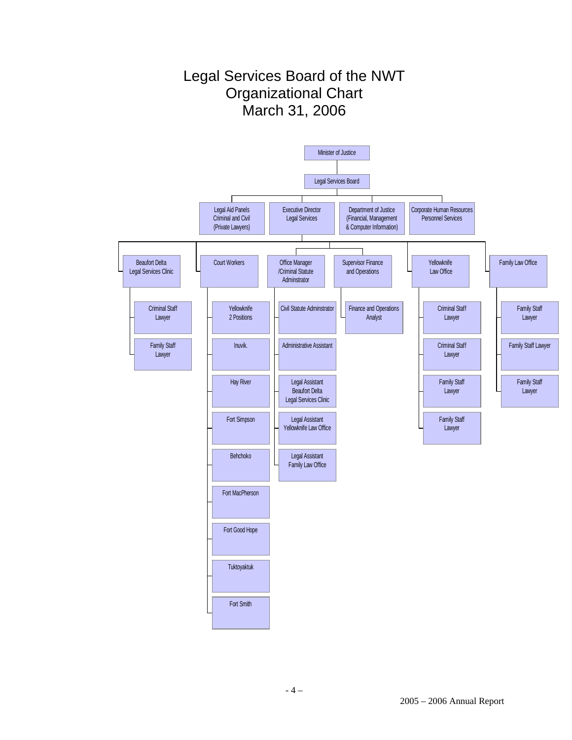# Legal Services Board of the NWT Organizational Chart March 31, 2006

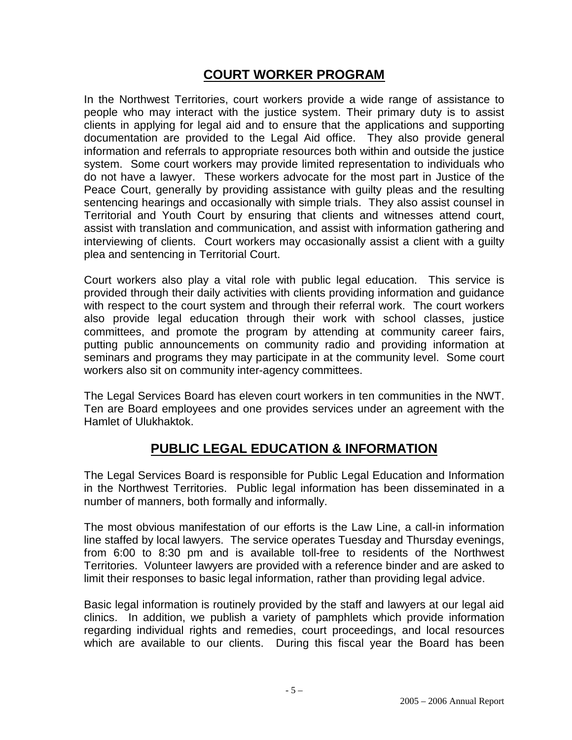# **COURT WORKER PROGRAM**

In the Northwest Territories, court workers provide a wide range of assistance to people who may interact with the justice system. Their primary duty is to assist clients in applying for legal aid and to ensure that the applications and supporting documentation are provided to the Legal Aid office. They also provide general information and referrals to appropriate resources both within and outside the justice system. Some court workers may provide limited representation to individuals who do not have a lawyer. These workers advocate for the most part in Justice of the Peace Court, generally by providing assistance with guilty pleas and the resulting sentencing hearings and occasionally with simple trials. They also assist counsel in Territorial and Youth Court by ensuring that clients and witnesses attend court, assist with translation and communication, and assist with information gathering and interviewing of clients. Court workers may occasionally assist a client with a guilty plea and sentencing in Territorial Court.

Court workers also play a vital role with public legal education. This service is provided through their daily activities with clients providing information and guidance with respect to the court system and through their referral work. The court workers also provide legal education through their work with school classes, justice committees, and promote the program by attending at community career fairs, putting public announcements on community radio and providing information at seminars and programs they may participate in at the community level. Some court workers also sit on community inter-agency committees.

The Legal Services Board has eleven court workers in ten communities in the NWT. Ten are Board employees and one provides services under an agreement with the Hamlet of Ulukhaktok.

# **PUBLIC LEGAL EDUCATION & INFORMATION**

The Legal Services Board is responsible for Public Legal Education and Information in the Northwest Territories. Public legal information has been disseminated in a number of manners, both formally and informally.

The most obvious manifestation of our efforts is the Law Line, a call-in information line staffed by local lawyers. The service operates Tuesday and Thursday evenings, from 6:00 to 8:30 pm and is available toll-free to residents of the Northwest Territories. Volunteer lawyers are provided with a reference binder and are asked to limit their responses to basic legal information, rather than providing legal advice.

Basic legal information is routinely provided by the staff and lawyers at our legal aid clinics. In addition, we publish a variety of pamphlets which provide information regarding individual rights and remedies, court proceedings, and local resources which are available to our clients. During this fiscal year the Board has been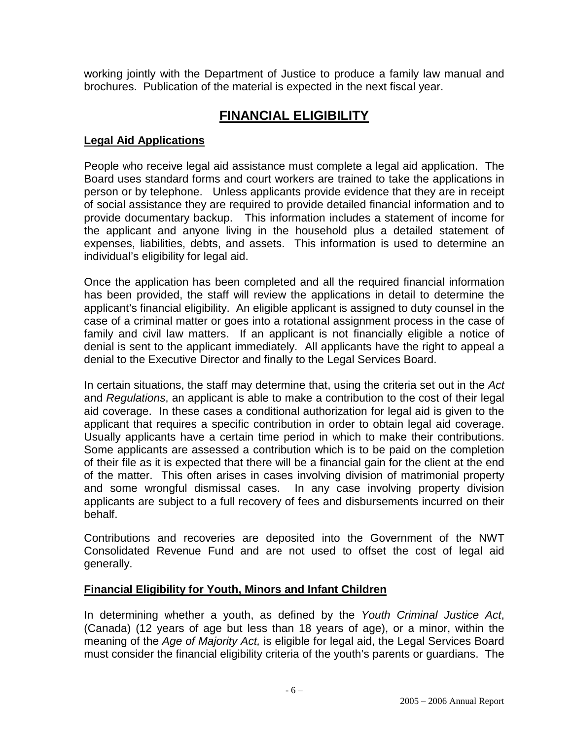working jointly with the Department of Justice to produce a family law manual and brochures. Publication of the material is expected in the next fiscal year.

# **FINANCIAL ELIGIBILITY**

## **Legal Aid Applications**

People who receive legal aid assistance must complete a legal aid application. The Board uses standard forms and court workers are trained to take the applications in person or by telephone. Unless applicants provide evidence that they are in receipt of social assistance they are required to provide detailed financial information and to provide documentary backup. This information includes a statement of income for the applicant and anyone living in the household plus a detailed statement of expenses, liabilities, debts, and assets. This information is used to determine an individual's eligibility for legal aid.

Once the application has been completed and all the required financial information has been provided, the staff will review the applications in detail to determine the applicant's financial eligibility. An eligible applicant is assigned to duty counsel in the case of a criminal matter or goes into a rotational assignment process in the case of family and civil law matters. If an applicant is not financially eligible a notice of denial is sent to the applicant immediately. All applicants have the right to appeal a denial to the Executive Director and finally to the Legal Services Board.

In certain situations, the staff may determine that, using the criteria set out in the *Act* and *Regulations*, an applicant is able to make a contribution to the cost of their legal aid coverage. In these cases a conditional authorization for legal aid is given to the applicant that requires a specific contribution in order to obtain legal aid coverage. Usually applicants have a certain time period in which to make their contributions. Some applicants are assessed a contribution which is to be paid on the completion of their file as it is expected that there will be a financial gain for the client at the end of the matter. This often arises in cases involving division of matrimonial property and some wrongful dismissal cases. In any case involving property division applicants are subject to a full recovery of fees and disbursements incurred on their behalf.

Contributions and recoveries are deposited into the Government of the NWT Consolidated Revenue Fund and are not used to offset the cost of legal aid generally.

### **Financial Eligibility for Youth, Minors and Infant Children**

In determining whether a youth, as defined by the *Youth Criminal Justice Act*, (Canada) (12 years of age but less than 18 years of age), or a minor, within the meaning of the *Age of Majority Act,* is eligible for legal aid, the Legal Services Board must consider the financial eligibility criteria of the youth's parents or guardians. The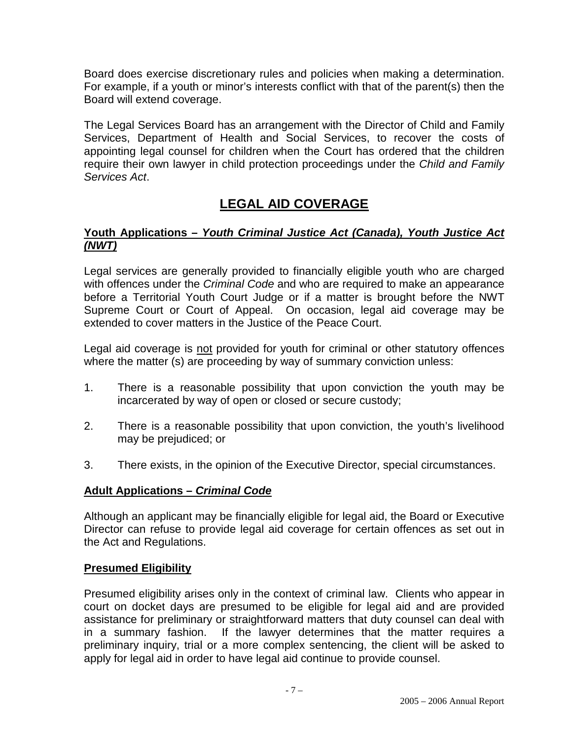Board does exercise discretionary rules and policies when making a determination. For example, if a youth or minor's interests conflict with that of the parent(s) then the Board will extend coverage.

The Legal Services Board has an arrangement with the Director of Child and Family Services, Department of Health and Social Services, to recover the costs of appointing legal counsel for children when the Court has ordered that the children require their own lawyer in child protection proceedings under the *Child and Family Services Act*.

# **LEGAL AID COVERAGE**

## **Youth Applications –** *Youth Criminal Justice Act (Canada), Youth Justice Act (NWT)*

Legal services are generally provided to financially eligible youth who are charged with offences under the *Criminal Code* and who are required to make an appearance before a Territorial Youth Court Judge or if a matter is brought before the NWT Supreme Court or Court of Appeal. On occasion, legal aid coverage may be extended to cover matters in the Justice of the Peace Court.

Legal aid coverage is not provided for youth for criminal or other statutory offences where the matter (s) are proceeding by way of summary conviction unless:

- 1. There is a reasonable possibility that upon conviction the youth may be incarcerated by way of open or closed or secure custody;
- 2. There is a reasonable possibility that upon conviction, the youth's livelihood may be prejudiced; or
- 3. There exists, in the opinion of the Executive Director, special circumstances.

## **Adult Applications –** *Criminal Code*

Although an applicant may be financially eligible for legal aid, the Board or Executive Director can refuse to provide legal aid coverage for certain offences as set out in the Act and Regulations.

### **Presumed Eligibility**

Presumed eligibility arises only in the context of criminal law. Clients who appear in court on docket days are presumed to be eligible for legal aid and are provided assistance for preliminary or straightforward matters that duty counsel can deal with in a summary fashion. If the lawyer determines that the matter requires a preliminary inquiry, trial or a more complex sentencing, the client will be asked to apply for legal aid in order to have legal aid continue to provide counsel.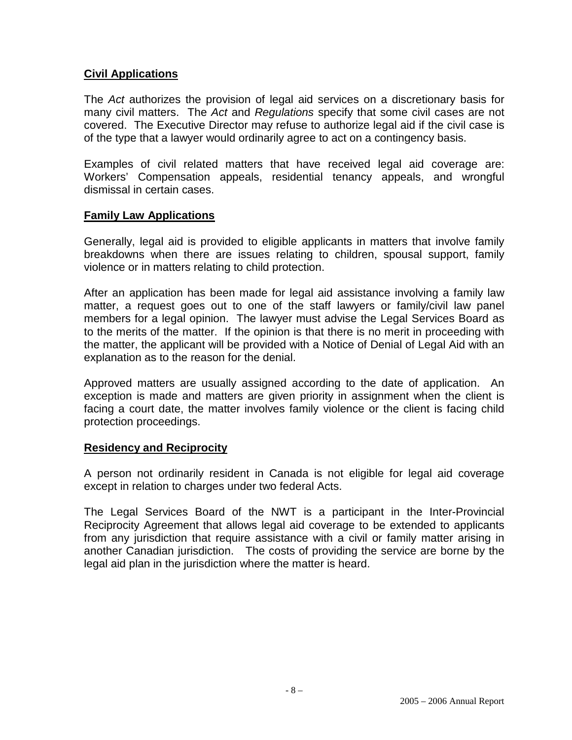### **Civil Applications**

The *Act* authorizes the provision of legal aid services on a discretionary basis for many civil matters. The *Act* and *Regulations* specify that some civil cases are not covered. The Executive Director may refuse to authorize legal aid if the civil case is of the type that a lawyer would ordinarily agree to act on a contingency basis.

Examples of civil related matters that have received legal aid coverage are: Workers' Compensation appeals, residential tenancy appeals, and wrongful dismissal in certain cases.

### **Family Law Applications**

Generally, legal aid is provided to eligible applicants in matters that involve family breakdowns when there are issues relating to children, spousal support, family violence or in matters relating to child protection.

After an application has been made for legal aid assistance involving a family law matter, a request goes out to one of the staff lawyers or family/civil law panel members for a legal opinion. The lawyer must advise the Legal Services Board as to the merits of the matter. If the opinion is that there is no merit in proceeding with the matter, the applicant will be provided with a Notice of Denial of Legal Aid with an explanation as to the reason for the denial.

Approved matters are usually assigned according to the date of application. An exception is made and matters are given priority in assignment when the client is facing a court date, the matter involves family violence or the client is facing child protection proceedings.

### **Residency and Reciprocity**

A person not ordinarily resident in Canada is not eligible for legal aid coverage except in relation to charges under two federal Acts.

The Legal Services Board of the NWT is a participant in the Inter-Provincial Reciprocity Agreement that allows legal aid coverage to be extended to applicants from any jurisdiction that require assistance with a civil or family matter arising in another Canadian jurisdiction. The costs of providing the service are borne by the legal aid plan in the jurisdiction where the matter is heard.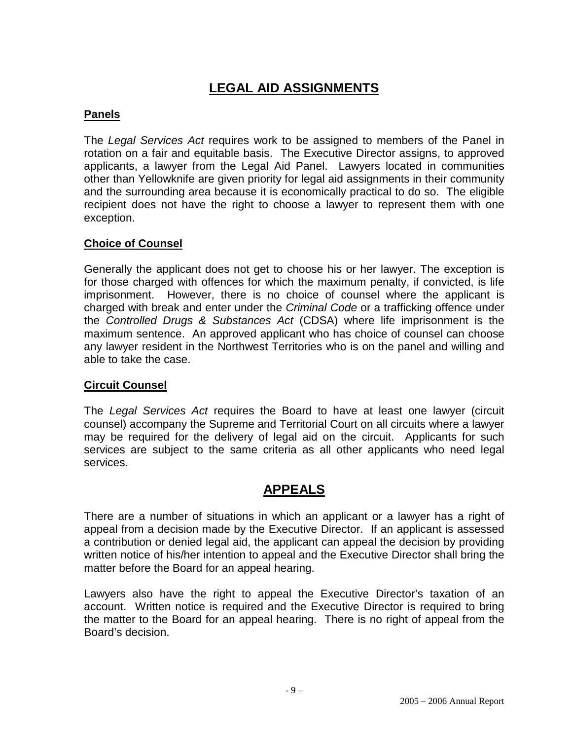# **LEGAL AID ASSIGNMENTS**

# **Panels**

The *Legal Services Act* requires work to be assigned to members of the Panel in rotation on a fair and equitable basis. The Executive Director assigns, to approved applicants, a lawyer from the Legal Aid Panel. Lawyers located in communities other than Yellowknife are given priority for legal aid assignments in their community and the surrounding area because it is economically practical to do so. The eligible recipient does not have the right to choose a lawyer to represent them with one exception.

## **Choice of Counsel**

Generally the applicant does not get to choose his or her lawyer. The exception is for those charged with offences for which the maximum penalty, if convicted, is life imprisonment. However, there is no choice of counsel where the applicant is charged with break and enter under the *Criminal Code* or a trafficking offence under the *Controlled Drugs & Substances Act* (CDSA) where life imprisonment is the maximum sentence. An approved applicant who has choice of counsel can choose any lawyer resident in the Northwest Territories who is on the panel and willing and able to take the case.

### **Circuit Counsel**

The *Legal Services Act* requires the Board to have at least one lawyer (circuit counsel) accompany the Supreme and Territorial Court on all circuits where a lawyer may be required for the delivery of legal aid on the circuit. Applicants for such services are subject to the same criteria as all other applicants who need legal services.

# **APPEALS**

There are a number of situations in which an applicant or a lawyer has a right of appeal from a decision made by the Executive Director. If an applicant is assessed a contribution or denied legal aid, the applicant can appeal the decision by providing written notice of his/her intention to appeal and the Executive Director shall bring the matter before the Board for an appeal hearing.

Lawyers also have the right to appeal the Executive Director's taxation of an account. Written notice is required and the Executive Director is required to bring the matter to the Board for an appeal hearing. There is no right of appeal from the Board's decision.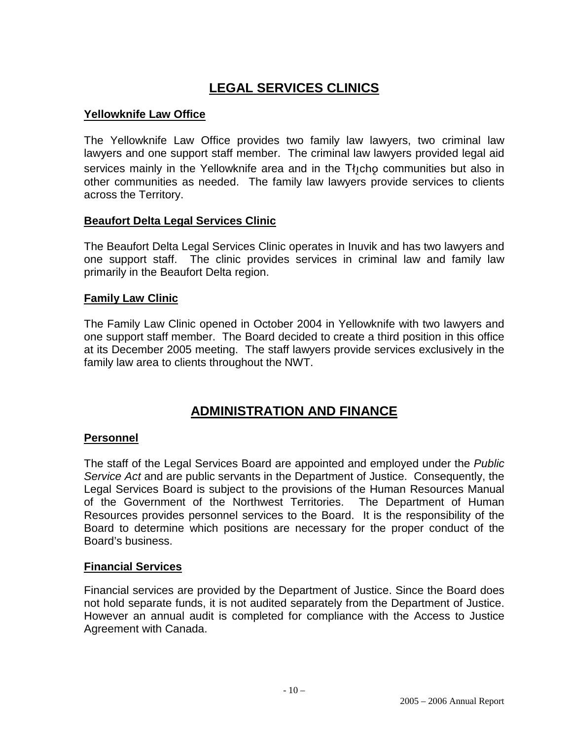# **LEGAL SERVICES CLINICS**

# **Yellowknife Law Office**

The Yellowknife Law Office provides two family law lawyers, two criminal law lawyers and one support staff member. The criminal law lawyers provided legal aid services mainly in the Yellowknife area and in the  $T_{i,j}$ cho communities but also in other communities as needed. The family law lawyers provide services to clients across the Territory.

### **Beaufort Delta Legal Services Clinic**

The Beaufort Delta Legal Services Clinic operates in Inuvik and has two lawyers and one support staff. The clinic provides services in criminal law and family law primarily in the Beaufort Delta region.

#### **Family Law Clinic**

The Family Law Clinic opened in October 2004 in Yellowknife with two lawyers and one support staff member. The Board decided to create a third position in this office at its December 2005 meeting. The staff lawyers provide services exclusively in the family law area to clients throughout the NWT.

# **ADMINISTRATION AND FINANCE**

### **Personnel**

The staff of the Legal Services Board are appointed and employed under the *Public Service Act* and are public servants in the Department of Justice. Consequently, the Legal Services Board is subject to the provisions of the Human Resources Manual of the Government of the Northwest Territories. The Department of Human Resources provides personnel services to the Board. It is the responsibility of the Board to determine which positions are necessary for the proper conduct of the Board's business.

#### **Financial Services**

Financial services are provided by the Department of Justice. Since the Board does not hold separate funds, it is not audited separately from the Department of Justice. However an annual audit is completed for compliance with the Access to Justice Agreement with Canada.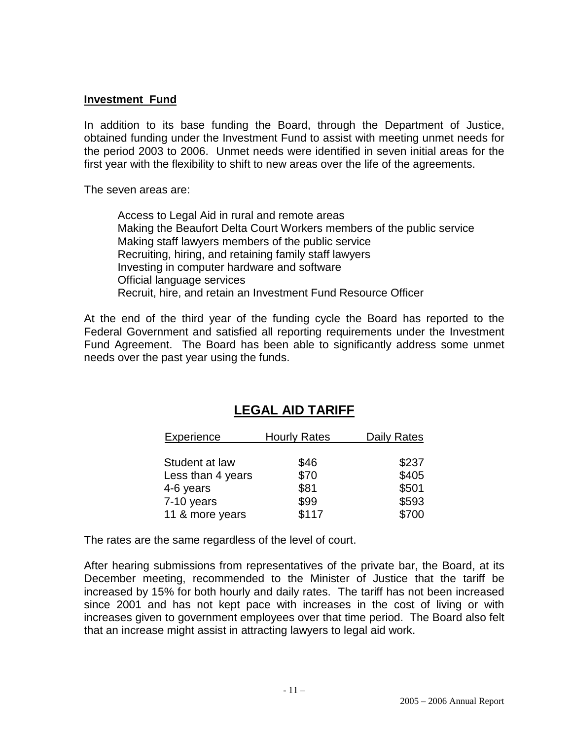#### **Investment Fund**

In addition to its base funding the Board, through the Department of Justice, obtained funding under the Investment Fund to assist with meeting unmet needs for the period 2003 to 2006. Unmet needs were identified in seven initial areas for the first year with the flexibility to shift to new areas over the life of the agreements.

The seven areas are:

Access to Legal Aid in rural and remote areas Making the Beaufort Delta Court Workers members of the public service Making staff lawyers members of the public service Recruiting, hiring, and retaining family staff lawyers Investing in computer hardware and software Official language services Recruit, hire, and retain an Investment Fund Resource Officer

At the end of the third year of the funding cycle the Board has reported to the Federal Government and satisfied all reporting requirements under the Investment Fund Agreement. The Board has been able to significantly address some unmet needs over the past year using the funds.

| Experience                          | <b>Hourly Rates</b> | <b>Daily Rates</b> |
|-------------------------------------|---------------------|--------------------|
| Student at law<br>Less than 4 years | \$46<br>\$70        | \$237<br>\$405     |
| 4-6 years                           | \$81                | \$501              |
| 7-10 years                          | \$99                | \$593              |
| 11 & more years                     | \$117               | \$700              |

# **LEGAL AID TARIFF**

The rates are the same regardless of the level of court.

After hearing submissions from representatives of the private bar, the Board, at its December meeting, recommended to the Minister of Justice that the tariff be increased by 15% for both hourly and daily rates. The tariff has not been increased since 2001 and has not kept pace with increases in the cost of living or with increases given to government employees over that time period. The Board also felt that an increase might assist in attracting lawyers to legal aid work.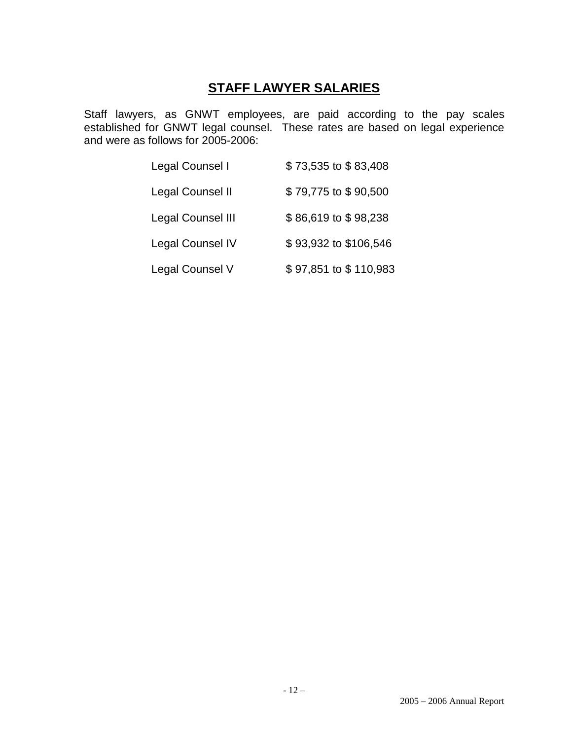# **STAFF LAWYER SALARIES**

Staff lawyers, as GNWT employees, are paid according to the pay scales established for GNWT legal counsel. These rates are based on legal experience and were as follows for 2005-2006:

| Legal Counsel I          | \$73,535 to \$83,408  |
|--------------------------|-----------------------|
| Legal Counsel II         | \$79,775 to \$90,500  |
| <b>Legal Counsel III</b> | \$86,619 to \$98,238  |
| <b>Legal Counsel IV</b>  | \$93,932 to \$106,546 |
| Legal Counsel V          | \$97,851 to \$110,983 |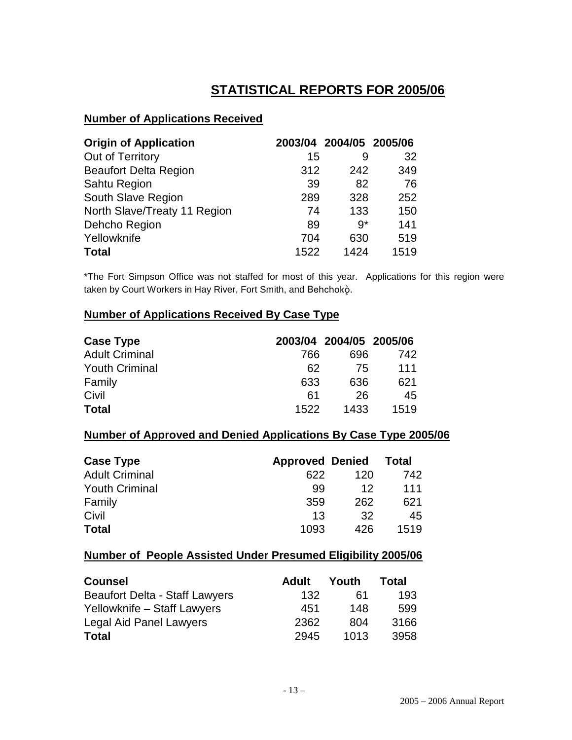# **STATISTICAL REPORTS FOR 2005/06**

## **Number of Applications Received**

| <b>Origin of Application</b> |      | 2003/04 2004/05 2005/06 |      |
|------------------------------|------|-------------------------|------|
| Out of Territory             | 15   | 9                       | 32   |
| <b>Beaufort Delta Region</b> | 312  | 242                     | 349  |
| Sahtu Region                 | 39   | 82                      | 76   |
| South Slave Region           | 289  | 328                     | 252  |
| North Slave/Treaty 11 Region | 74   | 133                     | 150  |
| Dehcho Region                | 89   | $9*$                    | 141  |
| Yellowknife                  | 704  | 630                     | 519  |
| <b>Total</b>                 | 1522 | 1424                    | 1519 |

\*The Fort Simpson Office was not staffed for most of this year. Applications for this region were taken by Court Workers in Hay River, Fort Smith, and Behchoko.

# **Number of Applications Received By Case Type**

| <b>Case Type</b>      |      | 2003/04 2004/05 2005/06 |      |
|-----------------------|------|-------------------------|------|
| <b>Adult Criminal</b> | 766  | 696                     | 742  |
| <b>Youth Criminal</b> | 62   | 75                      | 111  |
| Family                | 633  | 636                     | 621  |
| Civil                 | 61   | 26                      | 45   |
| <b>Total</b>          | 1522 | 1433                    | 1519 |

## **Number of Approved and Denied Applications By Case Type 2005/06**

| <b>Case Type</b>      | <b>Approved Denied</b> |     | <b>Total</b> |
|-----------------------|------------------------|-----|--------------|
| <b>Adult Criminal</b> | 622                    | 120 | 742          |
| <b>Youth Criminal</b> | 99                     | 12  | 111          |
| Family                | 359                    | 262 | 621          |
| Civil                 | 13                     | 32  | 45           |
| <b>Total</b>          | 1093                   | 426 | 1519         |

### **Number of People Assisted Under Presumed Eligibility 2005/06**

| <b>Counsel</b>                        | Adult | Youth | Total |
|---------------------------------------|-------|-------|-------|
| <b>Beaufort Delta - Staff Lawyers</b> | 132   | 61    | 193   |
| Yellowknife - Staff Lawyers           | 451   | 148   | 599   |
| Legal Aid Panel Lawyers               | 2362  | 804   | 3166  |
| <b>Total</b>                          | 2945  | 1013  | 3958  |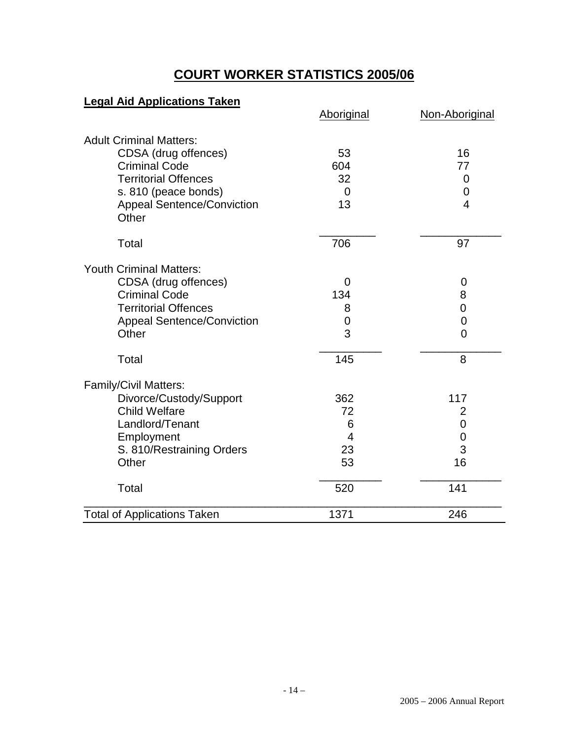# **COURT WORKER STATISTICS 2005/06**

# **Legal Aid Applications Taken**

|                                            | Aboriginal     | Non-Aboriginal |
|--------------------------------------------|----------------|----------------|
| <b>Adult Criminal Matters:</b>             |                |                |
| CDSA (drug offences)                       | 53             | 16             |
| <b>Criminal Code</b>                       | 604            | 77             |
| <b>Territorial Offences</b>                | 32             | $\mathbf 0$    |
| s. 810 (peace bonds)                       | $\Omega$       | 0              |
| <b>Appeal Sentence/Conviction</b><br>Other | 13             | $\overline{4}$ |
| Total                                      | 706            | 97             |
| <b>Youth Criminal Matters:</b>             |                |                |
| CDSA (drug offences)                       | $\overline{0}$ | 0              |
| <b>Criminal Code</b>                       | 134            | 8              |
| <b>Territorial Offences</b>                | 8              | $\mathbf 0$    |
| <b>Appeal Sentence/Conviction</b>          | 0              | $\mathbf 0$    |
| Other                                      | 3              | $\overline{0}$ |
| Total                                      | 145            | 8              |
| <b>Family/Civil Matters:</b>               |                |                |
| Divorce/Custody/Support                    | 362            | 117            |
| <b>Child Welfare</b>                       | 72             | 2              |
| Landlord/Tenant                            | 6              | 0              |
| Employment                                 | 4              | 0              |
| S. 810/Restraining Orders                  | 23             | 3              |
| Other                                      | 53             | 16             |
| Total                                      | 520            | 141            |
| <b>Total of Applications Taken</b>         | 1371           | 246            |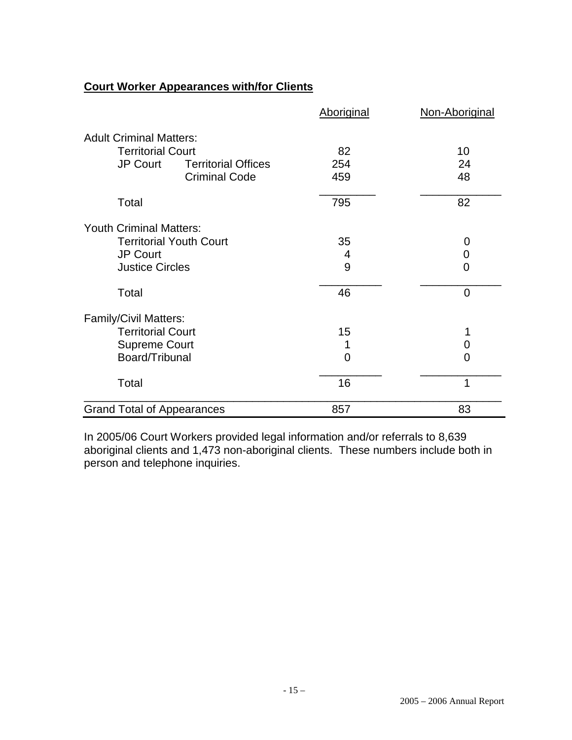# **Court Worker Appearances with/for Clients**

|                                               | <b>Aboriginal</b> | Non-Aboriginal |
|-----------------------------------------------|-------------------|----------------|
| <b>Adult Criminal Matters:</b>                |                   |                |
| <b>Territorial Court</b>                      | 82                | 10             |
| <b>JP Court</b><br><b>Territorial Offices</b> | 254               | 24             |
| <b>Criminal Code</b>                          | 459               | 48             |
| Total                                         | 795               | 82             |
| <b>Youth Criminal Matters:</b>                |                   |                |
| <b>Territorial Youth Court</b>                | 35                | 0              |
| <b>JP Court</b>                               | 4                 | 0              |
| <b>Justice Circles</b>                        | 9                 | 0              |
| Total                                         | 46                | $\overline{0}$ |
| <b>Family/Civil Matters:</b>                  |                   |                |
| <b>Territorial Court</b>                      | 15                |                |
| <b>Supreme Court</b>                          |                   | 0              |
| Board/Tribunal                                | 0                 | 0              |
| Total                                         | 16                | 1              |
| <b>Grand Total of Appearances</b>             | 857               | 83             |

In 2005/06 Court Workers provided legal information and/or referrals to 8,639 aboriginal clients and 1,473 non-aboriginal clients. These numbers include both in person and telephone inquiries.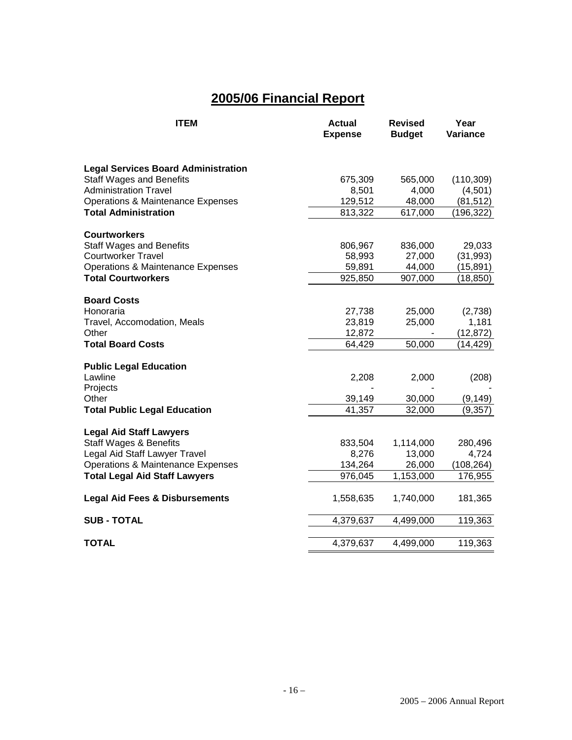# **2005/06 Financial Report**

| <b>ITEM</b>                                  | <b>Actual</b><br><b>Expense</b> | <b>Revised</b><br><b>Budget</b> | Year<br>Variance |
|----------------------------------------------|---------------------------------|---------------------------------|------------------|
|                                              |                                 |                                 |                  |
| <b>Legal Services Board Administration</b>   |                                 |                                 |                  |
| <b>Staff Wages and Benefits</b>              | 675,309                         | 565,000                         | (110, 309)       |
| <b>Administration Travel</b>                 | 8,501                           | 4,000                           | (4,501)          |
| <b>Operations &amp; Maintenance Expenses</b> | 129,512                         | 48,000                          | (81, 512)        |
| <b>Total Administration</b>                  | 813,322                         | 617,000                         | (196,322)        |
| <b>Courtworkers</b>                          |                                 |                                 |                  |
| <b>Staff Wages and Benefits</b>              | 806,967                         | 836,000                         | 29,033           |
| <b>Courtworker Travel</b>                    | 58,993                          | 27,000                          | (31, 993)        |
| <b>Operations &amp; Maintenance Expenses</b> | 59,891                          | 44,000                          | (15,891)         |
| <b>Total Courtworkers</b>                    | 925,850                         | 907,000                         | (18,850)         |
| <b>Board Costs</b>                           |                                 |                                 |                  |
| Honoraria                                    | 27,738                          | 25,000                          | (2,738)          |
| Travel, Accomodation, Meals                  | 23,819                          | 25,000                          | 1,181            |
| Other                                        | 12,872                          |                                 | (12, 872)        |
| <b>Total Board Costs</b>                     | 64,429                          | 50,000                          | (14,429)         |
| <b>Public Legal Education</b>                |                                 |                                 |                  |
| Lawline                                      | 2,208                           | 2,000                           | (208)            |
| Projects                                     |                                 |                                 |                  |
| Other                                        | 39,149                          | 30,000                          | (9, 149)         |
| <b>Total Public Legal Education</b>          | 41,357                          | 32,000                          | (9,357)          |
| <b>Legal Aid Staff Lawyers</b>               |                                 |                                 |                  |
| <b>Staff Wages &amp; Benefits</b>            | 833,504                         | 1,114,000                       | 280,496          |
| Legal Aid Staff Lawyer Travel                | 8,276                           | 13,000                          | 4,724            |
| Operations & Maintenance Expenses            | 134,264                         | 26,000                          | (108, 264)       |
| <b>Total Legal Aid Staff Lawyers</b>         | 976,045                         | 1,153,000                       | 176,955          |
| <b>Legal Aid Fees &amp; Disbursements</b>    | 1,558,635                       | 1,740,000                       | 181,365          |
| <b>SUB - TOTAL</b>                           | 4,379,637                       | 4,499,000                       | 119,363          |
| <b>TOTAL</b>                                 | 4,379,637                       | 4,499,000                       | 119,363          |
|                                              |                                 |                                 |                  |